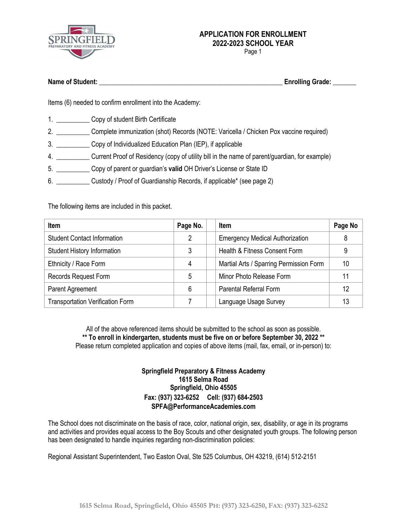

Page 1

| <b>Name of Student:</b> | <b>Enrolling Grade:</b> |
|-------------------------|-------------------------|
|                         |                         |

Items (6) needed to confirm enrollment into the Academy:

- 1. Copy of student Birth Certificate
- 2. \_\_\_\_\_\_\_\_\_\_ Complete immunization (shot) Records (NOTE: Varicella / Chicken Pox vaccine required)
- 3. \_\_\_\_\_\_\_\_\_\_ Copy of Individualized Education Plan (IEP), if applicable
- 4. \_\_\_\_\_\_\_\_\_\_ Current Proof of Residency (copy of utility bill in the name of parent/guardian, for example)
- 5. \_\_\_\_\_\_\_\_\_\_ Copy of parent or guardian's **valid** OH Driver's License or State ID
- 6. \_\_\_\_\_\_\_\_\_\_ Custody / Proof of Guardianship Records, if applicable\* (see page 2)

The following items are included in this packet.

| <b>Item</b>                             | Page No. | <b>Item</b>                             | Page No |
|-----------------------------------------|----------|-----------------------------------------|---------|
| <b>Student Contact Information</b>      | 2        | <b>Emergency Medical Authorization</b>  | 8       |
| <b>Student History Information</b>      | 3        | Health & Fitness Consent Form           | 9       |
| Ethnicity / Race Form                   | 4        | Martial Arts / Sparring Permission Form | 10      |
| Records Request Form                    | 5        | Minor Photo Release Form                |         |
| Parent Agreement                        | 6        | <b>Parental Referral Form</b>           | 12      |
| <b>Transportation Verification Form</b> |          | Language Usage Survey                   | 13      |

All of the above referenced items should be submitted to the school as soon as possible. **\*\* To enroll in kindergarten, students must be five on or before September 30, 2022 \*\*** Please return completed application and copies of above items (mail, fax, email, or in-person) to:

#### **Springfield Preparatory & Fitness Academy 1615 Selma Road Springfield, Ohio 45505 Fax: (937) 323-6252 Cell: (937) 684-2503 SPFA@PerformanceAcademies.com**

The School does not discriminate on the basis of race, color, national origin, sex, disability, or age in its programs and activities and provides equal access to the Boy Scouts and other designated youth groups. The following person has been designated to handle inquiries regarding non-discrimination policies:

Regional Assistant Superintendent, Two Easton Oval, Ste 525 Columbus, OH 43219, (614) 512-2151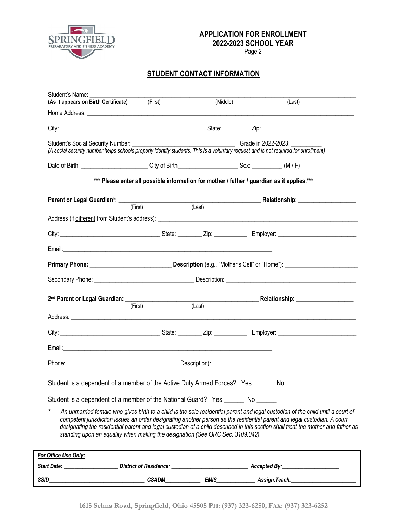

Page 2

## **STUDENT CONTACT INFORMATION**

| (As it appears on Birth Certificate) (First)                                                                                                                                         |                                                                                            | (Middle)            |              | (Last)                                                                                                                                                                                                                                                                                                                                                                                          |
|--------------------------------------------------------------------------------------------------------------------------------------------------------------------------------------|--------------------------------------------------------------------------------------------|---------------------|--------------|-------------------------------------------------------------------------------------------------------------------------------------------------------------------------------------------------------------------------------------------------------------------------------------------------------------------------------------------------------------------------------------------------|
|                                                                                                                                                                                      |                                                                                            |                     |              |                                                                                                                                                                                                                                                                                                                                                                                                 |
|                                                                                                                                                                                      |                                                                                            |                     |              |                                                                                                                                                                                                                                                                                                                                                                                                 |
| Student's Social Security Number: ___________<br>(A social security number helps schools properly identify students. This is a voluntary request and is not required for enrollment) |                                                                                            | Grade in 2022-2023: |              |                                                                                                                                                                                                                                                                                                                                                                                                 |
| Date of Birth: (M/F) City of Birth Sex: Case Sex: (M/F)                                                                                                                              |                                                                                            |                     |              |                                                                                                                                                                                                                                                                                                                                                                                                 |
|                                                                                                                                                                                      | *** Please enter all possible information for mother / father / guardian as it applies.*** |                     |              |                                                                                                                                                                                                                                                                                                                                                                                                 |
|                                                                                                                                                                                      |                                                                                            |                     |              | Parent or Legal Guardian*: (First) (Example 2014) (Last) Relationship: 2015 2016 2017 (Example 2016)                                                                                                                                                                                                                                                                                            |
|                                                                                                                                                                                      |                                                                                            |                     |              |                                                                                                                                                                                                                                                                                                                                                                                                 |
|                                                                                                                                                                                      |                                                                                            |                     |              |                                                                                                                                                                                                                                                                                                                                                                                                 |
|                                                                                                                                                                                      |                                                                                            |                     |              |                                                                                                                                                                                                                                                                                                                                                                                                 |
|                                                                                                                                                                                      |                                                                                            |                     |              |                                                                                                                                                                                                                                                                                                                                                                                                 |
|                                                                                                                                                                                      |                                                                                            |                     |              |                                                                                                                                                                                                                                                                                                                                                                                                 |
|                                                                                                                                                                                      |                                                                                            |                     |              |                                                                                                                                                                                                                                                                                                                                                                                                 |
|                                                                                                                                                                                      | (First)                                                                                    | (Last)              |              |                                                                                                                                                                                                                                                                                                                                                                                                 |
|                                                                                                                                                                                      |                                                                                            |                     |              |                                                                                                                                                                                                                                                                                                                                                                                                 |
|                                                                                                                                                                                      |                                                                                            |                     |              |                                                                                                                                                                                                                                                                                                                                                                                                 |
|                                                                                                                                                                                      |                                                                                            |                     |              |                                                                                                                                                                                                                                                                                                                                                                                                 |
| Student is a dependent of a member of the Active Duty Armed Forces? Yes ______ No ______                                                                                             |                                                                                            |                     |              |                                                                                                                                                                                                                                                                                                                                                                                                 |
|                                                                                                                                                                                      |                                                                                            |                     |              |                                                                                                                                                                                                                                                                                                                                                                                                 |
| Student is a dependent of a member of the National Guard? Yes _______ No ______<br>standing upon an equality when making the designation (See ORC Sec. 3109.042).                    |                                                                                            |                     |              | An unmarried female who gives birth to a child is the sole residential parent and legal custodian of the child until a court of<br>competent jurisdiction issues an order designating another person as the residential parent and legal custodian. A court<br>designating the residential parent and legal custodian of a child described in this section shall treat the mother and father as |
| For Office Use Only:                                                                                                                                                                 |                                                                                            |                     |              |                                                                                                                                                                                                                                                                                                                                                                                                 |
| Start Date:                                                                                                                                                                          | <b>District of Residence:</b>                                                              |                     | Accepted By: |                                                                                                                                                                                                                                                                                                                                                                                                 |

*SSID\_\_\_\_\_\_\_\_\_\_\_\_\_\_\_\_\_\_\_\_\_\_\_\_\_\_\_\_\_\_\_\_\_\_\_ CSADM\_\_\_\_\_\_\_\_\_\_\_\_\_ EMIS\_\_\_\_\_\_\_\_\_\_\_\_\_\_ Assign.Teach.\_\_\_\_\_\_\_\_\_\_\_\_\_\_\_\_\_\_\_\_\_\_\_\_*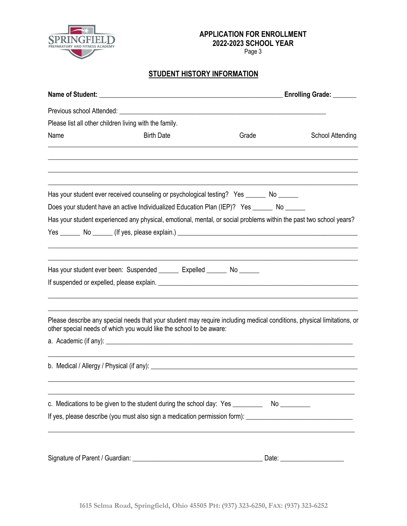

Page 3

## **STUDENT HISTORY INFORMATION**

|                                                        |                                                                                                                                                                                                                               |       | Enrolling Grade: ______        |
|--------------------------------------------------------|-------------------------------------------------------------------------------------------------------------------------------------------------------------------------------------------------------------------------------|-------|--------------------------------|
|                                                        |                                                                                                                                                                                                                               |       |                                |
| Please list all other children living with the family. |                                                                                                                                                                                                                               |       |                                |
| Name                                                   | <b>Birth Date</b>                                                                                                                                                                                                             | Grade | <b>School Attending</b>        |
|                                                        |                                                                                                                                                                                                                               |       |                                |
|                                                        | Has your student ever received counseling or psychological testing? Yes ______ No ______                                                                                                                                      |       |                                |
|                                                        | Does your student have an active Individualized Education Plan (IEP)? Yes ______ No _____                                                                                                                                     |       |                                |
|                                                        | Has your student experienced any physical, emotional, mental, or social problems within the past two school years?                                                                                                            |       |                                |
|                                                        |                                                                                                                                                                                                                               |       |                                |
|                                                        |                                                                                                                                                                                                                               |       |                                |
|                                                        | Has your student ever been: Suspended _______ Expelled ______ No ______                                                                                                                                                       |       |                                |
|                                                        | If suspended or expelled, please explain. The material control of the state of the state of the state of the state of the state of the state of the state of the state of the state of the state of the state of the state of |       |                                |
|                                                        | Please describe any special needs that your student may require including medical conditions, physical limitations, or<br>other special needs of which you would like the school to be aware:                                 |       |                                |
|                                                        |                                                                                                                                                                                                                               |       |                                |
|                                                        |                                                                                                                                                                                                                               |       |                                |
|                                                        | c. Medications to be given to the student during the school day: Yes ___________ No _________                                                                                                                                 |       |                                |
|                                                        | If yes, please describe (you must also sign a medication permission form): ___________________________________                                                                                                                |       |                                |
|                                                        |                                                                                                                                                                                                                               |       |                                |
|                                                        |                                                                                                                                                                                                                               |       | Date: ________________________ |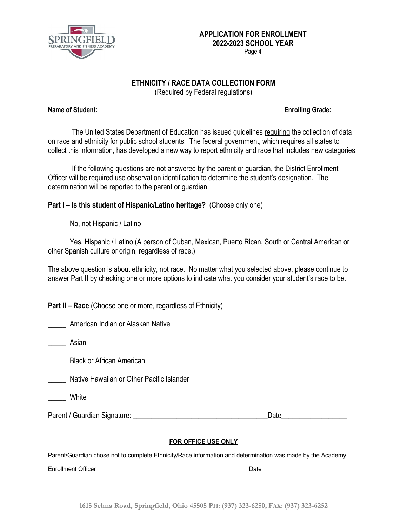

#### **ETHNICITY / RACE DATA COLLECTION FORM**

(Required by Federal regulations)

**Name of Student: \_\_\_\_\_\_\_\_\_\_\_\_\_\_\_\_\_\_\_\_\_\_\_\_\_\_\_\_\_\_\_\_\_\_\_\_\_\_\_\_\_\_\_\_\_\_\_\_\_\_\_\_\_\_\_ Enrolling Grade: \_\_\_\_\_\_\_**

The United States Department of Education has issued guidelines requiring the collection of data on race and ethnicity for public school students. The federal government, which requires all states to collect this information, has developed a new way to report ethnicity and race that includes new categories.

If the following questions are not answered by the parent or guardian, the District Enrollment Officer will be required use observation identification to determine the student's designation. The determination will be reported to the parent or guardian.

## **Part I – Is this student of Hispanic/Latino heritage?** (Choose only one)

\_\_\_\_\_ No, not Hispanic / Latino

Yes, Hispanic / Latino (A person of Cuban, Mexican, Puerto Rican, South or Central American or other Spanish culture or origin, regardless of race.)

The above question is about ethnicity, not race. No matter what you selected above, please continue to answer Part II by checking one or more options to indicate what you consider your student's race to be.

**Part II – Race** (Choose one or more, regardless of Ethnicity)

\_\_\_\_\_ American Indian or Alaskan Native

\_\_\_\_\_ Asian

\_\_\_\_\_ Black or African American

\_\_\_\_\_ Native Hawaiian or Other Pacific Islander

**White** 

Parent / Guardian Signature: \_\_\_\_\_\_\_\_\_\_\_\_\_\_\_\_\_\_\_\_\_\_\_\_\_\_\_\_\_\_\_\_\_\_\_\_\_Date\_\_\_\_\_\_\_\_\_\_\_\_\_\_\_\_\_\_

#### **FOR OFFICE USE ONLY**

Parent/Guardian chose not to complete Ethnicity/Race information and determination was made by the Academy.

Enrollment Officer **Enrollment Officer**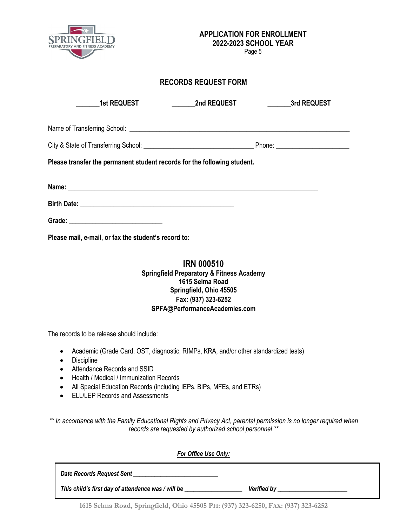

Page 5

### **RECORDS REQUEST FORM**

| <b>1st REQUEST</b>                                                       | <b>Example 2nd REQUEST</b> | <b>Example 3rd REQUEST</b> |
|--------------------------------------------------------------------------|----------------------------|----------------------------|
|                                                                          |                            |                            |
|                                                                          |                            |                            |
| Please transfer the permanent student records for the following student. |                            |                            |
|                                                                          |                            |                            |
|                                                                          |                            |                            |
|                                                                          |                            |                            |
| Please mail, e-mail, or fax the student's record to:                     |                            |                            |

### **IRN 000510 Springfield Preparatory & Fitness Academy 1615 Selma Road Springfield, Ohio 45505 Fax: (937) 323-6252 SPFA@PerformanceAcademies.com**

The records to be release should include:

- Academic (Grade Card, OST, diagnostic, RIMPs, KRA, and/or other standardized tests)
- Discipline
- Attendance Records and SSID
- Health / Medical / Immunization Records
- All Special Education Records (including IEPs, BIPs, MFEs, and ETRs)
- ELL/LEP Records and Assessments

*\*\* In accordance with the Family Educational Rights and Privacy Act, parental permission is no longer required when records are requested by authorized school personnel \*\**

| <b>For Office Use Only:</b>                        |                    |
|----------------------------------------------------|--------------------|
| Date Records Request Sent                          |                    |
| This child's first day of attendance was / will be | <b>Verified by</b> |

**1615 Selma Road, Springfield, Ohio 45505 PH: (937) 323-6250, FAX: (937) 323-6252**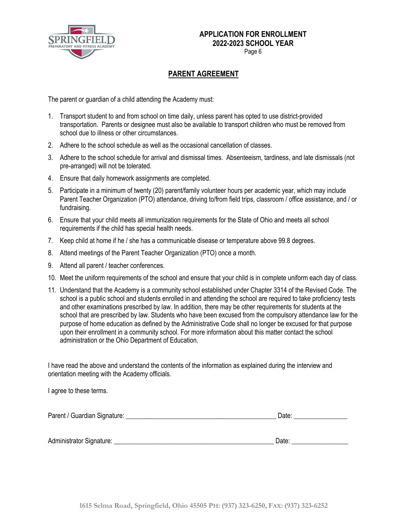

Page 6

## **PARENT AGREEMENT**

The parent or guardian of a child attending the Academy must:

- 1. Transport student to and from school on time daily, unless parent has opted to use district-provided transportation. Parents or designee must also be available to transport children who must be removed from school due to illness or other circumstances.
- 2. Adhere to the school schedule as well as the occasional cancellation of classes.
- 3. Adhere to the school schedule for arrival and dismissal times. Absenteeism, tardiness, and late dismissals (not pre-arranged) will not be tolerated.
- 4. Ensure that daily homework assignments are completed.
- 5. Participate in a minimum of twenty (20) parent/family volunteer hours per academic year, which may include Parent Teacher Organization (PTO) attendance, driving to/from field trips, classroom / office assistance, and / or fundraising.
- 6. Ensure that your child meets all immunization requirements for the State of Ohio and meets all school requirements if the child has special health needs.
- 7. Keep child at home if he / she has a communicable disease or temperature above 99.8 degrees.
- 8. Attend meetings of the Parent Teacher Organization (PTO) once a month.
- 9. Attend all parent / teacher conferences.
- 10. Meet the uniform requirements of the school and ensure that your child is in complete uniform each day of class.
- 11. Understand that the Academy is a community school established under Chapter 3314 of the Revised Code. The school is a public school and students enrolled in and attending the school are required to take proficiency tests and other examinations prescribed by law. In addition, there may be other requirements for students at the school that are prescribed by law. Students who have been excused from the compulsory attendance law for the purpose of home education as defined by the Administrative Code shall no longer be excused for that purpose upon their enrollment in a community school. For more information about this matter contact the school administration or the Ohio Department of Education.

I have read the above and understand the contents of the information as explained during the interview and orientation meeting with the Academy officials.

I agree to these terms.

| Parent / Guardian Signature: | Jate |  |
|------------------------------|------|--|
|                              |      |  |
|                              |      |  |

Administrator Signature: \_\_\_\_\_\_\_\_\_\_\_\_\_\_\_\_\_\_\_\_\_\_\_\_\_\_\_\_\_\_\_\_\_\_\_\_\_\_\_\_\_\_\_\_\_\_\_\_ Date: \_\_\_\_\_\_\_\_\_\_\_\_\_\_\_\_\_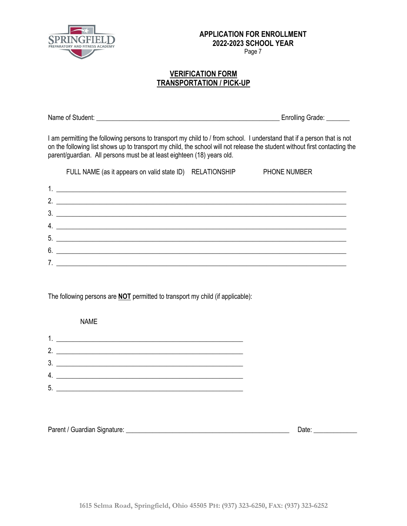

Page 7

#### **VERIFICATION FORM TRANSPORTATION / PICK-UP**

Name of Student: **Name of Student:**  $\blacksquare$ 

I am permitting the following persons to transport my child to / from school. I understand that if a person that is not on the following list shows up to transport my child, the school will not release the student without first contacting the parent/guardian. All persons must be at least eighteen (18) years old.

|                | FULL NAME (as it appears on valid state ID) RELATIONSHIP                                                               | <b>PHONE NUMBER</b> |
|----------------|------------------------------------------------------------------------------------------------------------------------|---------------------|
|                | <u> 1980 - Antonio Alemania, prima postala de la provincia de la provincia de la provincia de la provincia de la</u>   |                     |
| 2 <sub>1</sub> | <u> 1989 - Jan Barnett, fransk politiker (d. 1989)</u>                                                                 |                     |
| 3.             |                                                                                                                        |                     |
| 4.             | <u> 1989 - Jan Stern Harry Harry Harry Harry Harry Harry Harry Harry Harry Harry Harry Harry Harry Harry Harry Har</u> |                     |
|                |                                                                                                                        |                     |
| 6              | <u> 1989 - Andrea Stadt British, fransk politik (d. 1989)</u>                                                          |                     |
|                | <u> 1989 - John Stein, mars and de families and de families and de families and de families and de families and d</u>  |                     |

The following persons are **NOT** permitted to transport my child (if applicable):

 NAME 1. \_\_\_\_\_\_\_\_\_\_\_\_\_\_\_\_\_\_\_\_\_\_\_\_\_\_\_\_\_\_\_\_\_\_\_\_\_\_\_\_\_\_\_\_\_\_\_\_\_\_\_\_\_\_\_\_ 2. \_\_\_\_\_\_\_\_\_\_\_\_\_\_\_\_\_\_\_\_\_\_\_\_\_\_\_\_\_\_\_\_\_\_\_\_\_\_\_\_\_\_\_\_\_\_\_\_\_\_\_\_\_\_\_\_ 3. \_\_\_\_\_\_\_\_\_\_\_\_\_\_\_\_\_\_\_\_\_\_\_\_\_\_\_\_\_\_\_\_\_\_\_\_\_\_\_\_\_\_\_\_\_\_\_\_\_\_\_\_\_\_\_\_ 4. \_\_\_\_\_\_\_\_\_\_\_\_\_\_\_\_\_\_\_\_\_\_\_\_\_\_\_\_\_\_\_\_\_\_\_\_\_\_\_\_\_\_\_\_\_\_\_\_\_\_\_\_\_\_\_\_ 5. \_\_\_\_\_\_\_\_\_\_\_\_\_\_\_\_\_\_\_\_\_\_\_\_\_\_\_\_\_\_\_\_\_\_\_\_\_\_\_\_\_\_\_\_\_\_\_\_\_\_\_\_\_\_\_\_

| Parent / Guardian Signature: | Date |
|------------------------------|------|
|                              |      |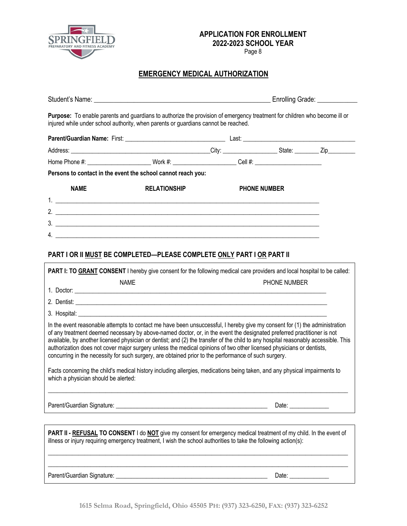

Page 8

## **EMERGENCY MEDICAL AUTHORIZATION**

| Purpose: To enable parents and guardians to authorize the provision of emergency treatment for children who become ill or<br>injured while under school authority, when parents or guardians cannot be reached.                                                                                                                                                                                                                                                                                                                                                                                                            |                     |                     |                      |  |
|----------------------------------------------------------------------------------------------------------------------------------------------------------------------------------------------------------------------------------------------------------------------------------------------------------------------------------------------------------------------------------------------------------------------------------------------------------------------------------------------------------------------------------------------------------------------------------------------------------------------------|---------------------|---------------------|----------------------|--|
|                                                                                                                                                                                                                                                                                                                                                                                                                                                                                                                                                                                                                            |                     |                     |                      |  |
|                                                                                                                                                                                                                                                                                                                                                                                                                                                                                                                                                                                                                            |                     |                     |                      |  |
| Home Phone #: __________________________Work #: _______________________Cell #: _______________________________                                                                                                                                                                                                                                                                                                                                                                                                                                                                                                             |                     |                     |                      |  |
| Persons to contact in the event the school cannot reach you:                                                                                                                                                                                                                                                                                                                                                                                                                                                                                                                                                               |                     |                     |                      |  |
| <b>NAME</b>                                                                                                                                                                                                                                                                                                                                                                                                                                                                                                                                                                                                                | <b>RELATIONSHIP</b> | <b>PHONE NUMBER</b> |                      |  |
|                                                                                                                                                                                                                                                                                                                                                                                                                                                                                                                                                                                                                            |                     |                     |                      |  |
| 2. $\frac{1}{2}$                                                                                                                                                                                                                                                                                                                                                                                                                                                                                                                                                                                                           |                     |                     |                      |  |
| 3.                                                                                                                                                                                                                                                                                                                                                                                                                                                                                                                                                                                                                         |                     |                     |                      |  |
| 4. $\overline{\phantom{a}}$                                                                                                                                                                                                                                                                                                                                                                                                                                                                                                                                                                                                |                     |                     |                      |  |
| PART I OR II MUST BE COMPLETED-PLEASE COMPLETE ONLY PART I OR PART II                                                                                                                                                                                                                                                                                                                                                                                                                                                                                                                                                      |                     |                     |                      |  |
| PART I: TO GRANT CONSENT I hereby give consent for the following medical care providers and local hospital to be called:                                                                                                                                                                                                                                                                                                                                                                                                                                                                                                   |                     |                     |                      |  |
| <b>NAME</b>                                                                                                                                                                                                                                                                                                                                                                                                                                                                                                                                                                                                                |                     |                     | <b>PHONE NUMBER</b>  |  |
|                                                                                                                                                                                                                                                                                                                                                                                                                                                                                                                                                                                                                            |                     |                     |                      |  |
|                                                                                                                                                                                                                                                                                                                                                                                                                                                                                                                                                                                                                            |                     |                     |                      |  |
|                                                                                                                                                                                                                                                                                                                                                                                                                                                                                                                                                                                                                            |                     |                     |                      |  |
| In the event reasonable attempts to contact me have been unsuccessful, I hereby give my consent for (1) the administration<br>of any treatment deemed necessary by above-named doctor, or, in the event the designated preferred practitioner is not<br>available, by another licensed physician or dentist; and (2) the transfer of the child to any hospital reasonably accessible. This<br>authorization does not cover major surgery unless the medical opinions of two other licensed physicians or dentists,<br>concurring in the necessity for such surgery, are obtained prior to the performance of such surgery. |                     |                     |                      |  |
| Facts concerning the child's medical history including allergies, medications being taken, and any physical impairments to<br>which a physician should be alerted:                                                                                                                                                                                                                                                                                                                                                                                                                                                         |                     |                     |                      |  |
|                                                                                                                                                                                                                                                                                                                                                                                                                                                                                                                                                                                                                            |                     |                     | Date: ______________ |  |
| PART II - REFUSAL TO CONSENT I do NOT give my consent for emergency medical treatment of my child. In the event of<br>illness or injury requiring emergency treatment, I wish the school authorities to take the following action(s):                                                                                                                                                                                                                                                                                                                                                                                      |                     |                     |                      |  |
|                                                                                                                                                                                                                                                                                                                                                                                                                                                                                                                                                                                                                            |                     |                     |                      |  |

Parent/Guardian Signature: \_\_\_\_\_\_\_\_\_\_\_\_\_\_\_\_\_\_\_\_\_\_\_\_\_\_\_\_\_\_\_\_\_\_\_\_\_\_\_\_\_\_\_\_\_\_\_\_\_\_ Date: \_\_\_\_\_\_\_\_\_\_\_\_\_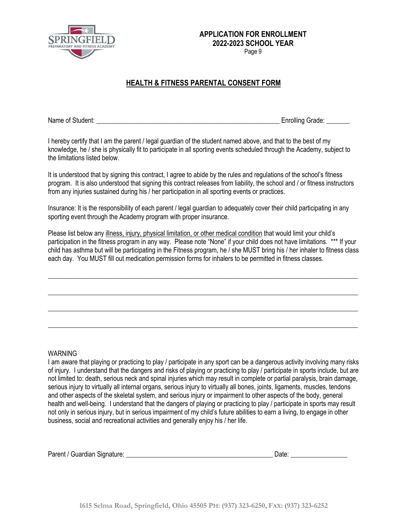

Page 9

## **HEALTH & FITNESS PARENTAL CONSENT FORM**

Name of Student: **Name of Student:**  $\blacksquare$ 

I hereby certify that I am the parent / legal guardian of the student named above, and that to the best of my knowledge, he / she is physically fit to participate in all sporting events scheduled through the Academy, subject to the limitations listed below.

It is understood that by signing this contract, I agree to abide by the rules and regulations of the school's fitness program. It is also understood that signing this contract releases from liability, the school and / or fitness instructors from any injuries sustained during his / her participation in all sporting events or practices.

Insurance: It is the responsibility of each parent / legal guardian to adequately cover their child participating in any sporting event through the Academy program with proper insurance.

Please list below any illness, injury, physical limitation, or other medical condition that would limit your child's participation in the fitness program in any way. Please note "None" if your child does not have limitations. \*\*\* If your child has asthma but will be participating in the Fitness program, he / she MUST bring his / her inhaler to fitness class each day. You MUST fill out medication permission forms for inhalers to be permitted in fitness classes.

 $\_$  ,  $\_$  ,  $\_$  ,  $\_$  ,  $\_$  ,  $\_$  ,  $\_$  ,  $\_$  ,  $\_$  ,  $\_$  ,  $\_$  ,  $\_$  ,  $\_$  ,  $\_$  ,  $\_$  ,  $\_$  ,  $\_$  ,  $\_$  ,  $\_$  ,  $\_$  ,  $\_$  ,  $\_$  ,  $\_$  ,  $\_$  ,  $\_$  ,  $\_$  ,  $\_$  ,  $\_$  ,  $\_$  ,  $\_$  ,  $\_$  ,  $\_$  ,  $\_$  ,  $\_$  ,  $\_$  ,  $\_$  ,  $\_$  ,

\_\_\_\_\_\_\_\_\_\_\_\_\_\_\_\_\_\_\_\_\_\_\_\_\_\_\_\_\_\_\_\_\_\_\_\_\_\_\_\_\_\_\_\_\_\_\_\_\_\_\_\_\_\_\_\_\_\_\_\_\_\_\_\_\_\_\_\_\_\_\_\_\_\_\_\_\_\_\_\_\_\_\_\_\_\_\_\_\_\_\_\_\_

\_\_\_\_\_\_\_\_\_\_\_\_\_\_\_\_\_\_\_\_\_\_\_\_\_\_\_\_\_\_\_\_\_\_\_\_\_\_\_\_\_\_\_\_\_\_\_\_\_\_\_\_\_\_\_\_\_\_\_\_\_\_\_\_\_\_\_\_\_\_\_\_\_\_\_\_\_\_\_\_\_\_\_\_\_\_\_\_\_\_\_\_\_

\_\_\_\_\_\_\_\_\_\_\_\_\_\_\_\_\_\_\_\_\_\_\_\_\_\_\_\_\_\_\_\_\_\_\_\_\_\_\_\_\_\_\_\_\_\_\_\_\_\_\_\_\_\_\_\_\_\_\_\_\_\_\_\_\_\_\_\_\_\_\_\_\_\_\_\_\_\_\_\_\_\_\_\_\_\_\_\_\_\_\_\_\_

#### WARNING

I am aware that playing or practicing to play / participate in any sport can be a dangerous activity involving many risks of injury. I understand that the dangers and risks of playing or practicing to play / participate in sports include, but are not limited to: death, serious neck and spinal injuries which may result in complete or partial paralysis, brain damage, serious injury to virtually all internal organs, serious injury to virtually all bones, joints, ligaments, muscles, tendons and other aspects of the skeletal system, and serious injury or impairment to other aspects of the body, general health and well-being. I understand that the dangers of playing or practicing to play / participate in sports may result not only in serious injury, but in serious impairment of my child's future abilities to earn a living, to engage in other business, social and recreational activities and generally enjoy his / her life.

|  | Parent / Guardian Signature: |  | Date |  |
|--|------------------------------|--|------|--|
|--|------------------------------|--|------|--|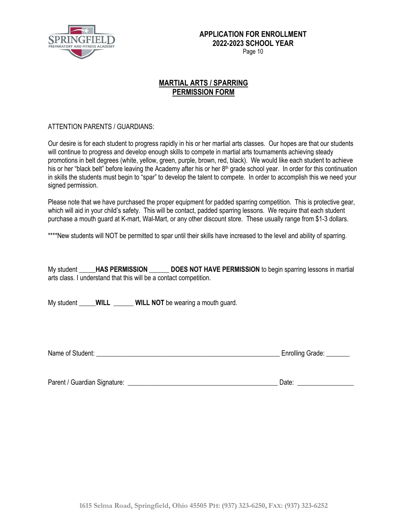

Page 10

### **MARTIAL ARTS / SPARRING PERMISSION FORM**

#### ATTENTION PARENTS / GUARDIANS:

Our desire is for each student to progress rapidly in his or her martial arts classes. Our hopes are that our students will continue to progress and develop enough skills to compete in martial arts tournaments achieving steady promotions in belt degrees (white, yellow, green, purple, brown, red, black). We would like each student to achieve his or her "black belt" before leaving the Academy after his or her  $8<sup>th</sup>$  grade school year. In order for this continuation in skills the students must begin to "spar" to develop the talent to compete. In order to accomplish this we need your signed permission.

Please note that we have purchased the proper equipment for padded sparring competition. This is protective gear, which will aid in your child's safety. This will be contact, padded sparring lessons. We require that each student purchase a mouth guard at K-mart, Wal-Mart, or any other discount store. These usually range from \$1-3 dollars.

\*\*\*\*New students will NOT be permitted to spar until their skills have increased to the level and ability of sparring.

My student **\_\_\_\_\_HAS PERMISSION \_\_\_\_\_\_ DOES NOT HAVE PERMISSION** to begin sparring lessons in martial arts class. I understand that this will be a contact competition.

My student **WILL WILL NOT** be wearing a mouth guard.

Name of Student: \_\_\_\_\_\_\_\_\_\_\_\_\_\_\_\_\_\_\_\_\_\_\_\_\_\_\_\_\_\_\_\_\_\_\_\_\_\_\_\_\_\_\_\_\_\_\_\_\_\_\_\_\_\_\_ Enrolling Grade: \_\_\_\_\_\_\_

Parent / Guardian Signature: \_\_\_\_\_\_\_\_\_\_\_\_\_\_\_\_\_\_\_\_\_\_\_\_\_\_\_\_\_\_\_\_\_\_\_\_\_\_\_\_\_\_\_\_\_ Date: \_\_\_\_\_\_\_\_\_\_\_\_\_\_\_\_\_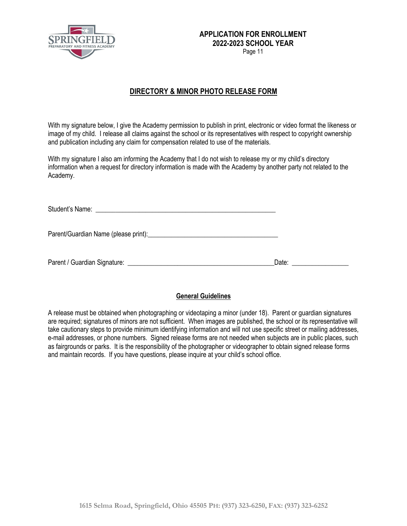

Page 11

### **DIRECTORY & MINOR PHOTO RELEASE FORM**

With my signature below, I give the Academy permission to publish in print, electronic or video format the likeness or image of my child. I release all claims against the school or its representatives with respect to copyright ownership and publication including any claim for compensation related to use of the materials.

With my signature I also am informing the Academy that I do not wish to release my or my child's directory information when a request for directory information is made with the Academy by another party not related to the Academy.

| Date: the contract of the contract of the contract of the contract of the contract of the contract of the contract of the contract of the contract of the contract of the contract of the contract of the contract of the cont |
|--------------------------------------------------------------------------------------------------------------------------------------------------------------------------------------------------------------------------------|

#### **General Guidelines**

A release must be obtained when photographing or videotaping a minor (under 18). Parent or guardian signatures are required; signatures of minors are not sufficient. When images are published, the school or its representative will take cautionary steps to provide minimum identifying information and will not use specific street or mailing addresses, e-mail addresses, or phone numbers. Signed release forms are not needed when subjects are in public places, such as fairgrounds or parks. It is the responsibility of the photographer or videographer to obtain signed release forms and maintain records. If you have questions, please inquire at your child's school office.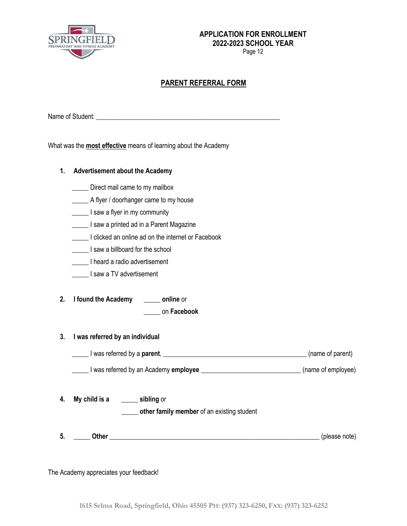

Page 12

### **PARENT REFERRAL FORM**

Name of Student: \_\_\_\_\_\_\_\_\_\_\_\_\_\_\_\_\_\_\_\_\_\_\_\_\_\_\_\_\_\_\_\_\_\_\_\_\_\_\_\_\_\_\_\_\_\_\_\_\_\_\_\_\_\_\_

What was the **most effective** means of learning about the Academy

| 1.       | <b>Advertisement about the Academy</b>                                                                                                                                                 |  |  |  |
|----------|----------------------------------------------------------------------------------------------------------------------------------------------------------------------------------------|--|--|--|
|          | Direct mail came to my mailbox                                                                                                                                                         |  |  |  |
|          | A flyer / doorhanger came to my house                                                                                                                                                  |  |  |  |
|          | I saw a flyer in my community                                                                                                                                                          |  |  |  |
|          | I saw a printed ad in a Parent Magazine                                                                                                                                                |  |  |  |
|          | I clicked an online ad on the internet or Facebook                                                                                                                                     |  |  |  |
|          | I saw a billboard for the school                                                                                                                                                       |  |  |  |
|          | I heard a radio advertisement                                                                                                                                                          |  |  |  |
|          | I saw a TV advertisement                                                                                                                                                               |  |  |  |
| 2.<br>3. | I found the Academy _______ online or<br>on Facebook<br>I was referred by an individual<br>I was referred by a <b>parent</b> , <u>I example and the set of parent</u> (name of parent) |  |  |  |
|          | I was referred by an Academy employee __________________________________(name of employee)                                                                                             |  |  |  |
| 4.       | My child is a sibling or<br>other family member of an existing student                                                                                                                 |  |  |  |
| 5.       | Other (please note) (please note)                                                                                                                                                      |  |  |  |

The Academy appreciates your feedback!